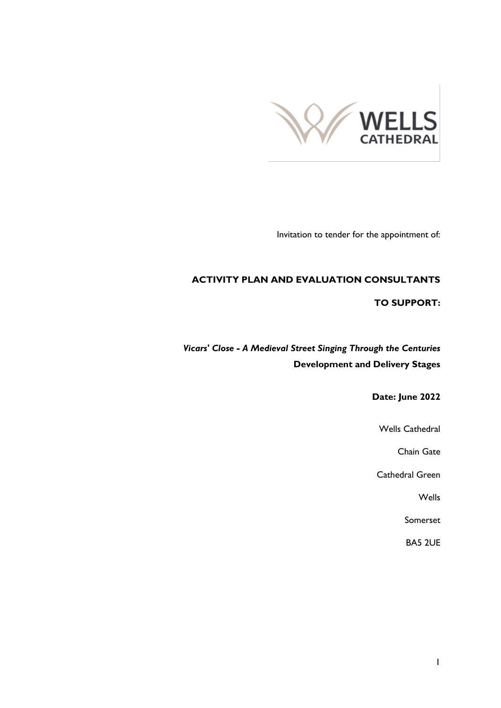

Invitation to tender for the appointment of:

### **ACTIVITY PLAN AND EVALUATION CONSULTANTS**

#### **TO SUPPORT:**

*Vicars' Close - A Medieval Street Singing Through the Centuries* **Development and Delivery Stages**

**Date: June 2022**

Wells Cathedral

Chain Gate

Cathedral Green

Wells

Somerset

BA5 2UE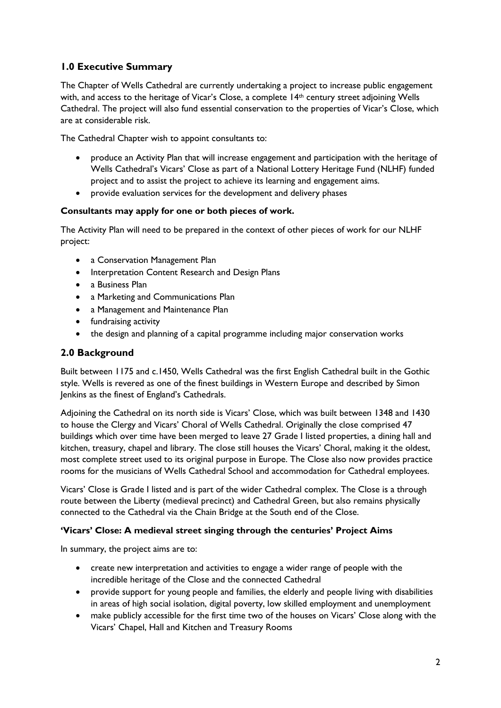# **1.0 Executive Summary**

The Chapter of Wells Cathedral are currently undertaking a project to increase public engagement with, and access to the heritage of Vicar's Close, a complete 14th century street adjoining Wells Cathedral. The project will also fund essential conservation to the properties of Vicar's Close, which are at considerable risk.

The Cathedral Chapter wish to appoint consultants to:

- produce an Activity Plan that will increase engagement and participation with the heritage of Wells Cathedral's Vicars' Close as part of a National Lottery Heritage Fund (NLHF) funded project and to assist the project to achieve its learning and engagement aims.
- provide evaluation services for the development and delivery phases

### **Consultants may apply for one or both pieces of work.**

The Activity Plan will need to be prepared in the context of other pieces of work for our NLHF project:

- a Conservation Management Plan
- Interpretation Content Research and Design Plans
- a Business Plan
- a Marketing and Communications Plan
- a Management and Maintenance Plan
- fundraising activity
- the design and planning of a capital programme including major conservation works

## **2.0 Background**

Built between 1175 and c.1450, Wells Cathedral was the first English Cathedral built in the Gothic style. Wells is revered as one of the finest buildings in Western Europe and described by Simon Jenkins as the finest of England's Cathedrals.

Adjoining the Cathedral on its north side is Vicars' Close, which was built between 1348 and 1430 to house the Clergy and Vicars' Choral of Wells Cathedral. Originally the close comprised 47 buildings which over time have been merged to leave 27 Grade I listed properties, a dining hall and kitchen, treasury, chapel and library. The close still houses the Vicars' Choral, making it the oldest, most complete street used to its original purpose in Europe. The Close also now provides practice rooms for the musicians of Wells Cathedral School and accommodation for Cathedral employees.

Vicars' Close is Grade I listed and is part of the wider Cathedral complex. The Close is a through route between the Liberty (medieval precinct) and Cathedral Green, but also remains physically connected to the Cathedral via the Chain Bridge at the South end of the Close.

### **'Vicars' Close: A medieval street singing through the centuries' Project Aims**

In summary, the project aims are to:

- create new interpretation and activities to engage a wider range of people with the incredible heritage of the Close and the connected Cathedral
- provide support for young people and families, the elderly and people living with disabilities in areas of high social isolation, digital poverty, low skilled employment and unemployment
- make publicly accessible for the first time two of the houses on Vicars' Close along with the Vicars' Chapel, Hall and Kitchen and Treasury Rooms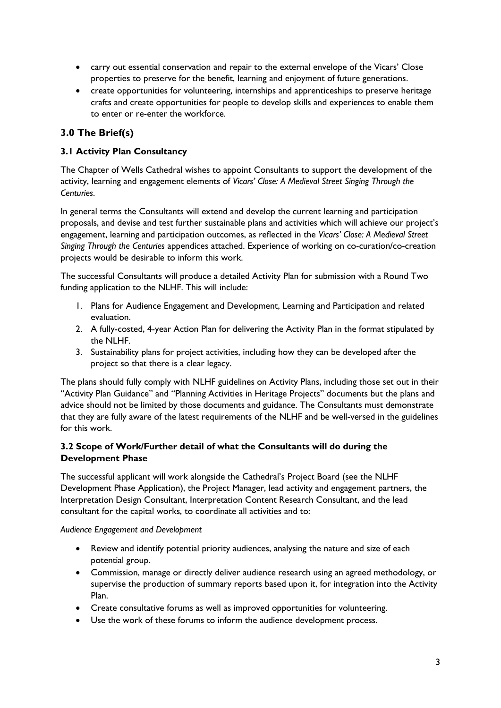- carry out essential conservation and repair to the external envelope of the Vicars' Close properties to preserve for the benefit, learning and enjoyment of future generations.
- create opportunities for volunteering, internships and apprenticeships to preserve heritage crafts and create opportunities for people to develop skills and experiences to enable them to enter or re-enter the workforce.

# **3.0 The Brief(s)**

## **3.1 Activity Plan Consultancy**

The Chapter of Wells Cathedral wishes to appoint Consultants to support the development of the activity, learning and engagement elements of *Vicars' Close: A Medieval Street Singing Through the Centuries*.

In general terms the Consultants will extend and develop the current learning and participation proposals, and devise and test further sustainable plans and activities which will achieve our project's engagement, learning and participation outcomes, as reflected in the *Vicars' Close: A Medieval Street Singing Through the Centuries* appendices attached. Experience of working on co-curation/co-creation projects would be desirable to inform this work.

The successful Consultants will produce a detailed Activity Plan for submission with a Round Two funding application to the NLHF. This will include:

- 1. Plans for Audience Engagement and Development, Learning and Participation and related evaluation.
- 2. A fully-costed, 4-year Action Plan for delivering the Activity Plan in the format stipulated by the NLHF.
- 3. Sustainability plans for project activities, including how they can be developed after the project so that there is a clear legacy.

The plans should fully comply with NLHF guidelines on Activity Plans, including those set out in their "Activity Plan Guidance" and "Planning Activities in Heritage Projects" documents but the plans and advice should not be limited by those documents and guidance. The Consultants must demonstrate that they are fully aware of the latest requirements of the NLHF and be well-versed in the guidelines for this work.

## **3.2 Scope of Work/Further detail of what the Consultants will do during the Development Phase**

The successful applicant will work alongside the Cathedral's Project Board (see the NLHF Development Phase Application), the Project Manager, lead activity and engagement partners, the Interpretation Design Consultant, Interpretation Content Research Consultant, and the lead consultant for the capital works, to coordinate all activities and to:

*Audience Engagement and Development*

- Review and identify potential priority audiences, analysing the nature and size of each potential group.
- Commission, manage or directly deliver audience research using an agreed methodology, or supervise the production of summary reports based upon it, for integration into the Activity Plan.
- Create consultative forums as well as improved opportunities for volunteering.
- Use the work of these forums to inform the audience development process.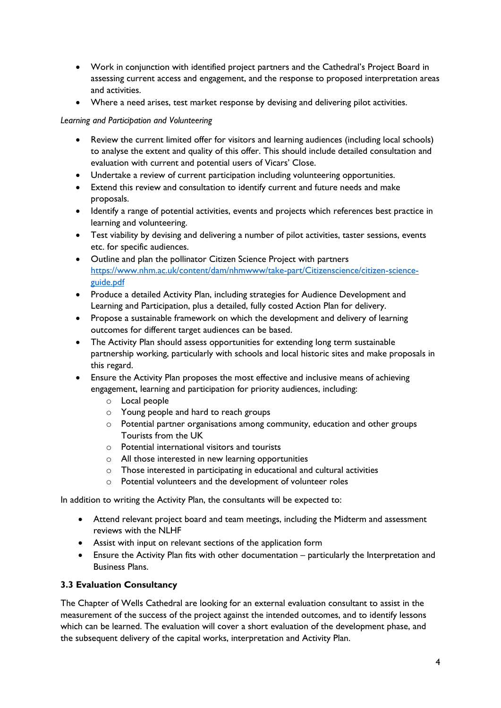- Work in conjunction with identified project partners and the Cathedral's Project Board in assessing current access and engagement, and the response to proposed interpretation areas and activities.
- Where a need arises, test market response by devising and delivering pilot activities.

#### *Learning and Participation and Volunteering*

- Review the current limited offer for visitors and learning audiences (including local schools) to analyse the extent and quality of this offer. This should include detailed consultation and evaluation with current and potential users of Vicars' Close.
- Undertake a review of current participation including volunteering opportunities.
- Extend this review and consultation to identify current and future needs and make proposals.
- Identify a range of potential activities, events and projects which references best practice in learning and volunteering.
- Test viability by devising and delivering a number of pilot activities, taster sessions, events etc. for specific audiences.
- Outline and plan the pollinator Citizen Science Project with partners [https://www.nhm.ac.uk/content/dam/nhmwww/take-part/Citizenscience/citizen-science](https://www.nhm.ac.uk/content/dam/nhmwww/take-part/Citizenscience/citizen-science-guide.pdf)[guide.pdf](https://www.nhm.ac.uk/content/dam/nhmwww/take-part/Citizenscience/citizen-science-guide.pdf)
- Produce a detailed Activity Plan, including strategies for Audience Development and Learning and Participation, plus a detailed, fully costed Action Plan for delivery.
- Propose a sustainable framework on which the development and delivery of learning outcomes for different target audiences can be based.
- The Activity Plan should assess opportunities for extending long term sustainable partnership working, particularly with schools and local historic sites and make proposals in this regard.
- Ensure the Activity Plan proposes the most effective and inclusive means of achieving engagement, learning and participation for priority audiences, including:
	- o Local people
	- o Young people and hard to reach groups
	- o Potential partner organisations among community, education and other groups Tourists from the UK
	- $\circ$  Potential international visitors and tourists
	- o All those interested in new learning opportunities
	- o Those interested in participating in educational and cultural activities
	- o Potential volunteers and the development of volunteer roles

In addition to writing the Activity Plan, the consultants will be expected to:

- Attend relevant project board and team meetings, including the Midterm and assessment reviews with the NLHF
- Assist with input on relevant sections of the application form
- Ensure the Activity Plan fits with other documentation particularly the Interpretation and Business Plans.

### **3.3 Evaluation Consultancy**

The Chapter of Wells Cathedral are looking for an external evaluation consultant to assist in the measurement of the success of the project against the intended outcomes, and to identify lessons which can be learned. The evaluation will cover a short evaluation of the development phase, and the subsequent delivery of the capital works, interpretation and Activity Plan.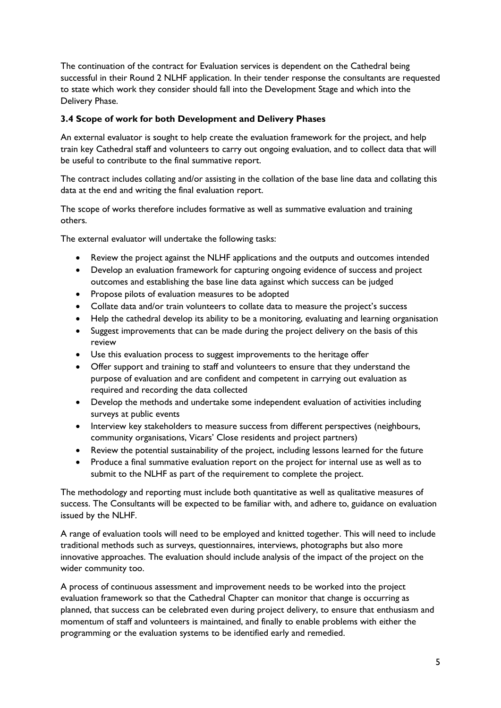The continuation of the contract for Evaluation services is dependent on the Cathedral being successful in their Round 2 NLHF application. In their tender response the consultants are requested to state which work they consider should fall into the Development Stage and which into the Delivery Phase.

### **3.4 Scope of work for both Development and Delivery Phases**

An external evaluator is sought to help create the evaluation framework for the project, and help train key Cathedral staff and volunteers to carry out ongoing evaluation, and to collect data that will be useful to contribute to the final summative report.

The contract includes collating and/or assisting in the collation of the base line data and collating this data at the end and writing the final evaluation report.

The scope of works therefore includes formative as well as summative evaluation and training others.

The external evaluator will undertake the following tasks:

- Review the project against the NLHF applications and the outputs and outcomes intended
- Develop an evaluation framework for capturing ongoing evidence of success and project outcomes and establishing the base line data against which success can be judged
- Propose pilots of evaluation measures to be adopted
- Collate data and/or train volunteers to collate data to measure the project's success
- Help the cathedral develop its ability to be a monitoring, evaluating and learning organisation
- Suggest improvements that can be made during the project delivery on the basis of this review
- Use this evaluation process to suggest improvements to the heritage offer
- Offer support and training to staff and volunteers to ensure that they understand the purpose of evaluation and are confident and competent in carrying out evaluation as required and recording the data collected
- Develop the methods and undertake some independent evaluation of activities including surveys at public events
- Interview key stakeholders to measure success from different perspectives (neighbours, community organisations, Vicars' Close residents and project partners)
- Review the potential sustainability of the project, including lessons learned for the future
- Produce a final summative evaluation report on the project for internal use as well as to submit to the NLHF as part of the requirement to complete the project.

The methodology and reporting must include both quantitative as well as qualitative measures of success. The Consultants will be expected to be familiar with, and adhere to, guidance on evaluation issued by the NLHF.

A range of evaluation tools will need to be employed and knitted together. This will need to include traditional methods such as surveys, questionnaires, interviews, photographs but also more innovative approaches. The evaluation should include analysis of the impact of the project on the wider community too.

A process of continuous assessment and improvement needs to be worked into the project evaluation framework so that the Cathedral Chapter can monitor that change is occurring as planned, that success can be celebrated even during project delivery, to ensure that enthusiasm and momentum of staff and volunteers is maintained, and finally to enable problems with either the programming or the evaluation systems to be identified early and remedied.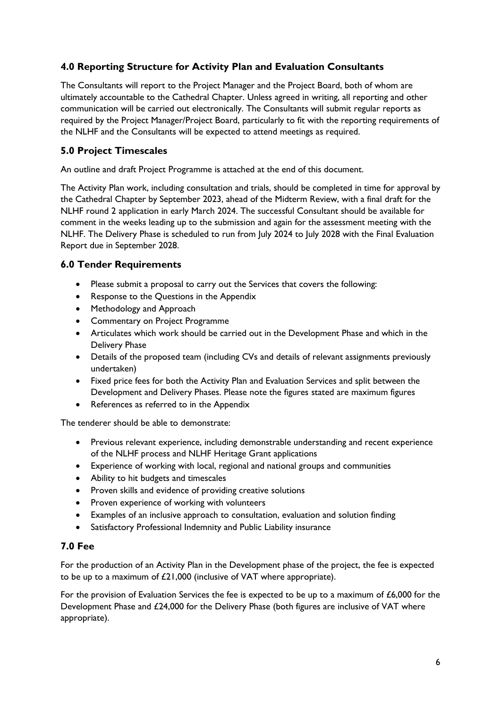# **4.0 Reporting Structure for Activity Plan and Evaluation Consultants**

The Consultants will report to the Project Manager and the Project Board, both of whom are ultimately accountable to the Cathedral Chapter. Unless agreed in writing, all reporting and other communication will be carried out electronically. The Consultants will submit regular reports as required by the Project Manager/Project Board, particularly to fit with the reporting requirements of the NLHF and the Consultants will be expected to attend meetings as required.

# **5.0 Project Timescales**

An outline and draft Project Programme is attached at the end of this document.

The Activity Plan work, including consultation and trials, should be completed in time for approval by the Cathedral Chapter by September 2023, ahead of the Midterm Review, with a final draft for the NLHF round 2 application in early March 2024. The successful Consultant should be available for comment in the weeks leading up to the submission and again for the assessment meeting with the NLHF. The Delivery Phase is scheduled to run from July 2024 to July 2028 with the Final Evaluation Report due in September 2028.

## **6.0 Tender Requirements**

- Please submit a proposal to carry out the Services that covers the following:
- Response to the Questions in the Appendix
- Methodology and Approach
- Commentary on Project Programme
- Articulates which work should be carried out in the Development Phase and which in the Delivery Phase
- Details of the proposed team (including CVs and details of relevant assignments previously undertaken)
- Fixed price fees for both the Activity Plan and Evaluation Services and split between the Development and Delivery Phases. Please note the figures stated are maximum figures
- References as referred to in the Appendix

The tenderer should be able to demonstrate:

- Previous relevant experience, including demonstrable understanding and recent experience of the NLHF process and NLHF Heritage Grant applications
- Experience of working with local, regional and national groups and communities
- Ability to hit budgets and timescales
- Proven skills and evidence of providing creative solutions
- Proven experience of working with volunteers
- Examples of an inclusive approach to consultation, evaluation and solution finding
- Satisfactory Professional Indemnity and Public Liability insurance

### **7.0 Fee**

For the production of an Activity Plan in the Development phase of the project, the fee is expected to be up to a maximum of £21,000 (inclusive of VAT where appropriate).

For the provision of Evaluation Services the fee is expected to be up to a maximum of £6,000 for the Development Phase and £24,000 for the Delivery Phase (both figures are inclusive of VAT where appropriate).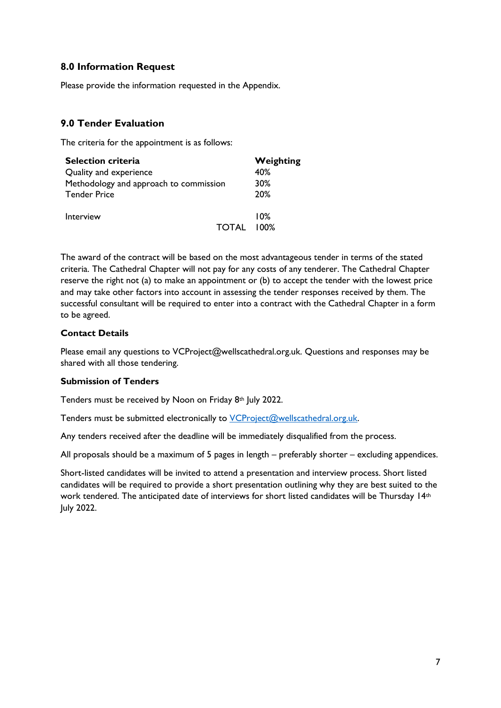## **8.0 Information Request**

Please provide the information requested in the Appendix.

## **9.0 Tender Evaluation**

The criteria for the appointment is as follows:

| <b>Selection criteria</b>              |       | Weighting |
|----------------------------------------|-------|-----------|
| Quality and experience                 |       | 40%       |
| Methodology and approach to commission |       | 30%       |
| <b>Tender Price</b>                    |       | 20%       |
| Interview                              |       | 10%       |
|                                        | TOTAL | $100\%$   |

The award of the contract will be based on the most advantageous tender in terms of the stated criteria. The Cathedral Chapter will not pay for any costs of any tenderer. The Cathedral Chapter reserve the right not (a) to make an appointment or (b) to accept the tender with the lowest price and may take other factors into account in assessing the tender responses received by them. The successful consultant will be required to enter into a contract with the Cathedral Chapter in a form to be agreed.

### **Contact Details**

Please email any questions to VCProject@wellscathedral.org.uk. Questions and responses may be shared with all those tendering.

#### **Submission of Tenders**

Tenders must be received by Noon on Friday 8th July 2022.

Tenders must be submitted electronically to [VCProject@wellscathedral.org.uk.](mailto:VCProject@wellscathedral.org.uk)

Any tenders received after the deadline will be immediately disqualified from the process.

All proposals should be a maximum of 5 pages in length – preferably shorter – excluding appendices.

Short-listed candidates will be invited to attend a presentation and interview process. Short listed candidates will be required to provide a short presentation outlining why they are best suited to the work tendered. The anticipated date of interviews for short listed candidates will be Thursday 14th July 2022.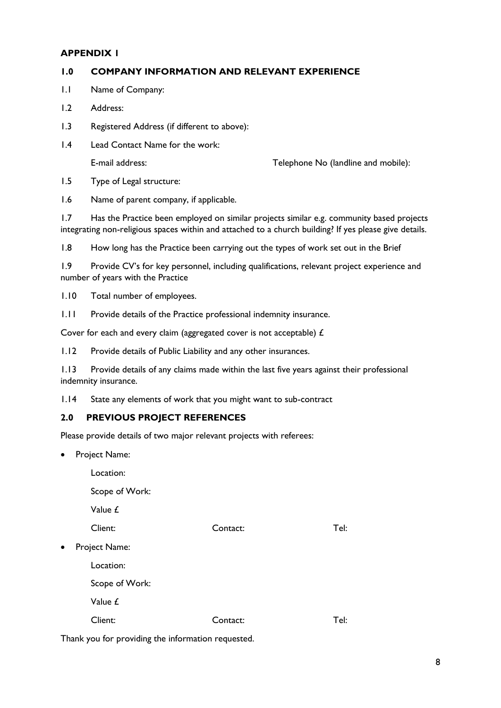### **APPENDIX 1**

### **1.0 COMPANY INFORMATION AND RELEVANT EXPERIENCE**

- 1.1 Name of Company:
- 1.2 Address:
- 1.3 Registered Address (if different to above):
- 1.4 Lead Contact Name for the work:

E-mail address: Telephone No (landline and mobile):

1.5 Type of Legal structure:

1.6 Name of parent company, if applicable.

1.7 Has the Practice been employed on similar projects similar e.g. community based projects integrating non-religious spaces within and attached to a church building? If yes please give details.

1.8 How long has the Practice been carrying out the types of work set out in the Brief

1.9 Provide CV's for key personnel, including qualifications, relevant project experience and number of years with the Practice

1.10 Total number of employees.

1.11 Provide details of the Practice professional indemnity insurance.

Cover for each and every claim (aggregated cover is not acceptable) £

1.12 Provide details of Public Liability and any other insurances.

1.13 Provide details of any claims made within the last five years against their professional indemnity insurance.

1.14 State any elements of work that you might want to sub-contract

### **2.0 PREVIOUS PROJECT REFERENCES**

Please provide details of two major relevant projects with referees:

Project Name:

Location: Scope of Work: Value £ Client: Contact: Tel: Project Name: Location: Scope of Work: Value £ Client: Contact: Tel:

Thank you for providing the information requested.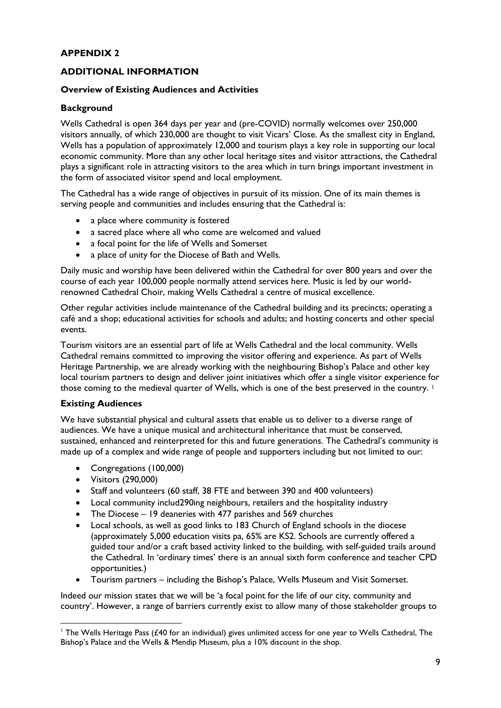## **APPENDIX 2**

### **ADDITIONAL INFORMATION**

#### **Overview of Existing Audiences and Activities**

#### **Background**

Wells Cathedral is open 364 days per year and (pre-COVID) normally welcomes over 250,000 visitors annually, of which 230,000 are thought to visit Vicars' Close. As the smallest city in England, Wells has a population of approximately 12,000 and tourism plays a key role in supporting our local economic community. More than any other local heritage sites and visitor attractions, the Cathedral plays a significant role in attracting visitors to the area which in turn brings important investment in the form of associated visitor spend and local employment.

The Cathedral has a wide range of objectives in pursuit of its mission. One of its main themes is serving people and communities and includes ensuring that the Cathedral is:

- a place where community is fostered
- a sacred place where all who come are welcomed and valued
- a focal point for the life of Wells and Somerset
- a place of unity for the Diocese of Bath and Wells.

Daily music and worship have been delivered within the Cathedral for over 800 years and over the course of each year 100,000 people normally attend services here. Music is led by our worldrenowned Cathedral Choir, making Wells Cathedral a centre of musical excellence.

Other regular activities include maintenance of the Cathedral building and its precincts; operating a café and a shop; educational activities for schools and adults; and hosting concerts and other special events.

Tourism visitors are an essential part of life at Wells Cathedral and the local community. Wells Cathedral remains committed to improving the visitor offering and experience. As part of Wells Heritage Partnership, we are already working with the neighbouring Bishop's Palace and other key local tourism partners to design and deliver joint initiatives which offer a single visitor experience for those coming to the medieval quarter of Wells, which is one of the best preserved in the country. <sup>1</sup>

#### **Existing Audiences**

We have substantial physical and cultural assets that enable us to deliver to a diverse range of audiences. We have a unique musical and architectural inheritance that must be conserved, sustained, enhanced and reinterpreted for this and future generations. The Cathedral's community is made up of a complex and wide range of people and supporters including but not limited to our:

- Congregations (100,000)
- Visitors (290,000)
- Staff and volunteers (60 staff, 38 FTE and between 390 and 400 volunteers)
- Local community includ290ing neighbours, retailers and the hospitality industry
- The Diocese 19 deaneries with 477 parishes and 569 churches
- Local schools, as well as good links to 183 Church of England schools in the diocese (approximately 5,000 education visits pa, 65% are KS2. Schools are currently offered a guided tour and/or a craft based activity linked to the building, with self-guided trails around the Cathedral. In 'ordinary times' there is an annual sixth form conference and teacher CPD opportunities.)
- Tourism partners including the Bishop's Palace, Wells Museum and Visit Somerset.

Indeed our mission states that we will be 'a focal point for the life of our city, community and country'. However, a range of barriers currently exist to allow many of those stakeholder groups to

<sup>&</sup>lt;sup>1</sup> The Wells Heritage Pass (£40 for an individual) gives unlimited access for one year to Wells Cathedral, The Bishop's Palace and the Wells & Mendip Museum, plus a 10% discount in the shop.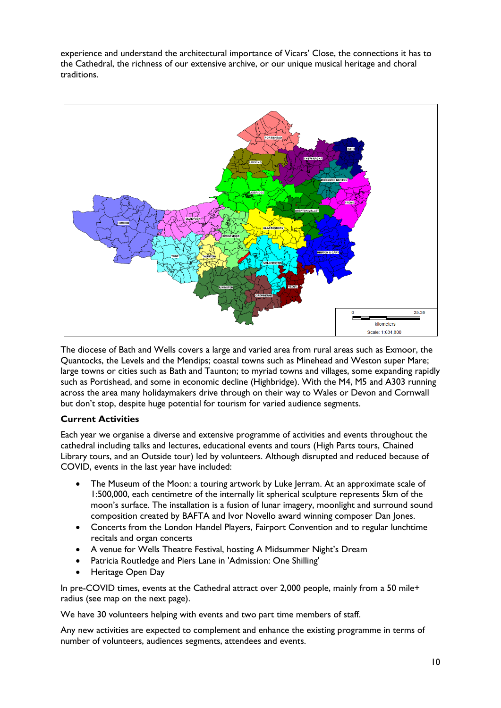experience and understand the architectural importance of Vicars' Close, the connections it has to the Cathedral, the richness of our extensive archive, or our unique musical heritage and choral traditions.



The diocese of Bath and Wells covers a large and varied area from rural areas such as Exmoor, the Quantocks, the Levels and the Mendips; coastal towns such as Minehead and Weston super Mare; large towns or cities such as Bath and Taunton; to myriad towns and villages, some expanding rapidly such as Portishead, and some in economic decline (Highbridge). With the M4, M5 and A303 running across the area many holidaymakers drive through on their way to Wales or Devon and Cornwall but don't stop, despite huge potential for tourism for varied audience segments.

### **Current Activities**

Each year we organise a diverse and extensive programme of activities and events throughout the cathedral including talks and lectures, educational events and tours (High Parts tours, Chained Library tours, and an Outside tour) led by volunteers. Although disrupted and reduced because of COVID, events in the last year have included:

- The Museum of the Moon: a touring artwork by Luke Jerram. At an approximate scale of 1:500,000, each centimetre of the internally lit spherical sculpture represents 5km of the moon's surface. The installation is a fusion of lunar imagery, moonlight and surround sound composition created by BAFTA and Ivor Novello award winning composer Dan Jones.
- Concerts from the London Handel Players, Fairport Convention and to regular lunchtime recitals and organ concerts
- A venue for Wells Theatre Festival, hosting A Midsummer Night's Dream
- Patricia Routledge and Piers Lane in 'Admission: One Shilling'
- Heritage Open Day

In pre-COVID times, events at the Cathedral attract over 2,000 people, mainly from a 50 mile+ radius (see map on the next page).

We have 30 volunteers helping with events and two part time members of staff.

Any new activities are expected to complement and enhance the existing programme in terms of number of volunteers, audiences segments, attendees and events.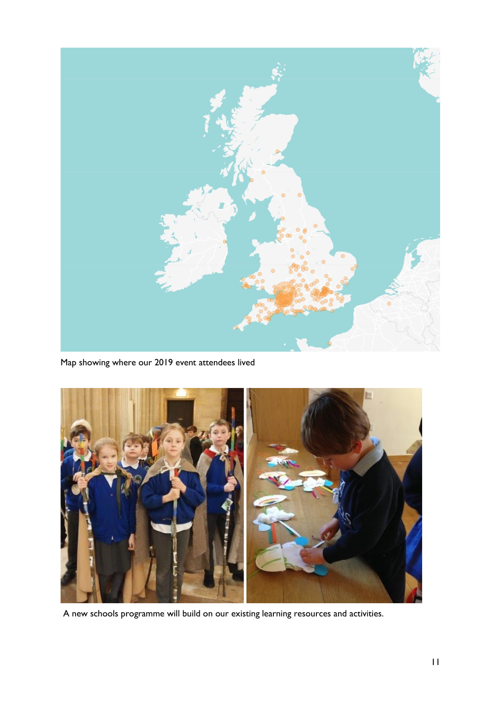

Map showing where our 2019 event attendees lived



A new schools programme will build on our existing learning resources and activities.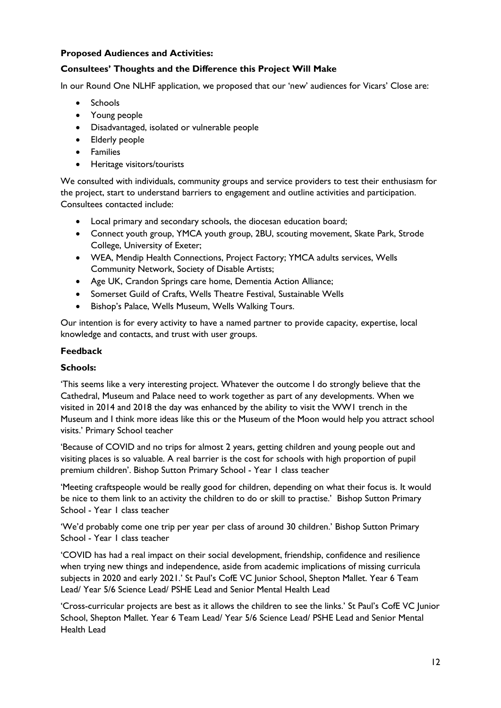### **Proposed Audiences and Activities:**

## **Consultees' Thoughts and the Difference this Project Will Make**

In our Round One NLHF application, we proposed that our 'new' audiences for Vicars' Close are:

- Schools
- Young people
- Disadvantaged, isolated or vulnerable people
- Elderly people
- Families
- Heritage visitors/tourists

We consulted with individuals, community groups and service providers to test their enthusiasm for the project, start to understand barriers to engagement and outline activities and participation. Consultees contacted include:

- Local primary and secondary schools, the diocesan education board;
- Connect youth group, YMCA youth group, 2BU, scouting movement, Skate Park, Strode College, University of Exeter;
- WEA, Mendip Health Connections, Project Factory; YMCA adults services, Wells Community Network, Society of Disable Artists;
- Age UK, Crandon Springs care home, Dementia Action Alliance;
- Somerset Guild of Crafts, Wells Theatre Festival, Sustainable Wells
- Bishop's Palace, Wells Museum, Wells Walking Tours.

Our intention is for every activity to have a named partner to provide capacity, expertise, local knowledge and contacts, and trust with user groups.

### **Feedback**

### **Schools:**

'This seems like a very interesting project. Whatever the outcome I do strongly believe that the Cathedral, Museum and Palace need to work together as part of any developments. When we visited in 2014 and 2018 the day was enhanced by the ability to visit the WW1 trench in the Museum and I think more ideas like this or the Museum of the Moon would help you attract school visits.' Primary School teacher

'Because of COVID and no trips for almost 2 years, getting children and young people out and visiting places is so valuable. A real barrier is the cost for schools with high proportion of pupil premium children'. Bishop Sutton Primary School - Year 1 class teacher

'Meeting craftspeople would be really good for children, depending on what their focus is. It would be nice to them link to an activity the children to do or skill to practise.' Bishop Sutton Primary School - Year 1 class teacher

'We'd probably come one trip per year per class of around 30 children.' Bishop Sutton Primary School - Year 1 class teacher

'COVID has had a real impact on their social development, friendship, confidence and resilience when trying new things and independence, aside from academic implications of missing curricula subjects in 2020 and early 2021.' St Paul's CofE VC Junior School, Shepton Mallet. Year 6 Team Lead/ Year 5/6 Science Lead/ PSHE Lead and Senior Mental Health Lead

'Cross-curricular projects are best as it allows the children to see the links.' St Paul's CofE VC Junior School, Shepton Mallet. Year 6 Team Lead/ Year 5/6 Science Lead/ PSHE Lead and Senior Mental Health Lead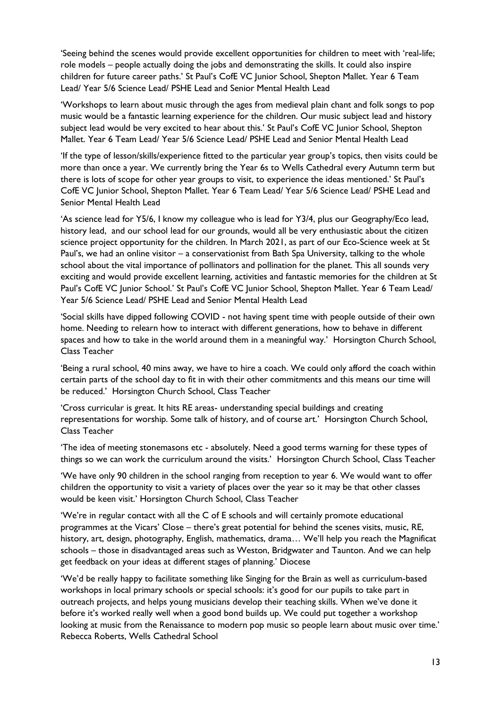'Seeing behind the scenes would provide excellent opportunities for children to meet with 'real-life; role models – people actually doing the jobs and demonstrating the skills. It could also inspire children for future career paths.' St Paul's CofE VC Junior School, Shepton Mallet. Year 6 Team Lead/ Year 5/6 Science Lead/ PSHE Lead and Senior Mental Health Lead

'Workshops to learn about music through the ages from medieval plain chant and folk songs to pop music would be a fantastic learning experience for the children. Our music subject lead and history subject lead would be very excited to hear about this.' St Paul's CofE VC Junior School, Shepton Mallet. Year 6 Team Lead/ Year 5/6 Science Lead/ PSHE Lead and Senior Mental Health Lead

'If the type of lesson/skills/experience fitted to the particular year group's topics, then visits could be more than once a year. We currently bring the Year 6s to Wells Cathedral every Autumn term but there is lots of scope for other year groups to visit, to experience the ideas mentioned.' St Paul's CofE VC Junior School, Shepton Mallet. Year 6 Team Lead/ Year 5/6 Science Lead/ PSHE Lead and Senior Mental Health Lead

'As science lead for Y5/6, I know my colleague who is lead for Y3/4, plus our Geography/Eco lead, history lead, and our school lead for our grounds, would all be very enthusiastic about the citizen science project opportunity for the children. In March 2021, as part of our Eco-Science week at St Paul's, we had an online visitor – a conservationist from Bath Spa University, talking to the whole school about the vital importance of pollinators and pollination for the planet. This all sounds very exciting and would provide excellent learning, activities and fantastic memories for the children at St Paul's CofE VC Junior School.' St Paul's CofE VC Junior School, Shepton Mallet. Year 6 Team Lead/ Year 5/6 Science Lead/ PSHE Lead and Senior Mental Health Lead

'Social skills have dipped following COVID - not having spent time with people outside of their own home. Needing to relearn how to interact with different generations, how to behave in different spaces and how to take in the world around them in a meaningful way.' Horsington Church School, Class Teacher

'Being a rural school, 40 mins away, we have to hire a coach. We could only afford the coach within certain parts of the school day to fit in with their other commitments and this means our time will be reduced.' Horsington Church School, Class Teacher

'Cross curricular is great. It hits RE areas- understanding special buildings and creating representations for worship. Some talk of history, and of course art.' Horsington Church School, Class Teacher

'The idea of meeting stonemasons etc - absolutely. Need a good terms warning for these types of things so we can work the curriculum around the visits.' Horsington Church School, Class Teacher

'We have only 90 children in the school ranging from reception to year 6. We would want to offer children the opportunity to visit a variety of places over the year so it may be that other classes would be keen visit.' Horsington Church School, Class Teacher

'We're in regular contact with all the C of E schools and will certainly promote educational programmes at the Vicars' Close – there's great potential for behind the scenes visits, music, RE, history, art, design, photography, English, mathematics, drama… We'll help you reach the Magnificat schools – those in disadvantaged areas such as Weston, Bridgwater and Taunton. And we can help get feedback on your ideas at different stages of planning.' Diocese

'We'd be really happy to facilitate something like Singing for the Brain as well as curriculum-based workshops in local primary schools or special schools: it's good for our pupils to take part in outreach projects, and helps young musicians develop their teaching skills. When we've done it before it's worked really well when a good bond builds up. We could put together a workshop looking at music from the Renaissance to modern pop music so people learn about music over time.' Rebecca Roberts, Wells Cathedral School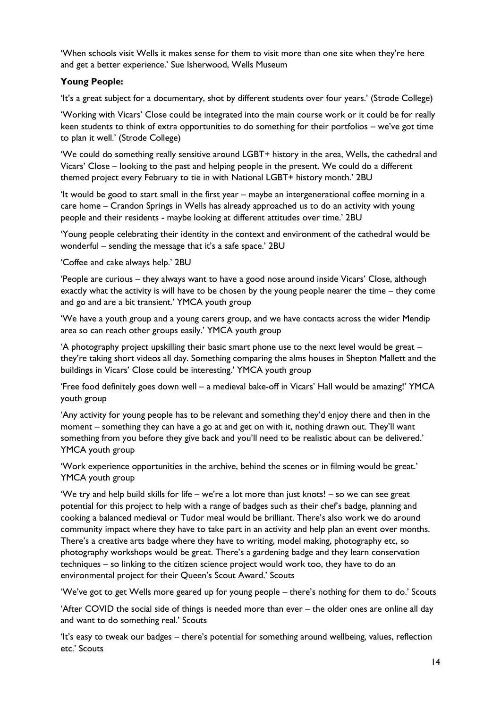'When schools visit Wells it makes sense for them to visit more than one site when they're here and get a better experience.' Sue Isherwood, Wells Museum

## **Young People:**

'It's a great subject for a documentary, shot by different students over four years.' (Strode College)

'Working with Vicars' Close could be integrated into the main course work or it could be for really keen students to think of extra opportunities to do something for their portfolios – we've got time to plan it well.' (Strode College)

'We could do something really sensitive around LGBT+ history in the area, Wells, the cathedral and Vicars' Close – looking to the past and helping people in the present. We could do a different themed project every February to tie in with National LGBT+ history month.' 2BU

'It would be good to start small in the first year – maybe an intergenerational coffee morning in a care home – Crandon Springs in Wells has already approached us to do an activity with young people and their residents - maybe looking at different attitudes over time.' 2BU

'Young people celebrating their identity in the context and environment of the cathedral would be wonderful – sending the message that it's a safe space.' 2BU

'Coffee and cake always help.' 2BU

'People are curious – they always want to have a good nose around inside Vicars' Close, although exactly what the activity is will have to be chosen by the young people nearer the time – they come and go and are a bit transient.' YMCA youth group

'We have a youth group and a young carers group, and we have contacts across the wider Mendip area so can reach other groups easily.' YMCA youth group

'A photography project upskilling their basic smart phone use to the next level would be great – they're taking short videos all day. Something comparing the alms houses in Shepton Mallett and the buildings in Vicars' Close could be interesting.' YMCA youth group

'Free food definitely goes down well – a medieval bake-off in Vicars' Hall would be amazing!' YMCA youth group

'Any activity for young people has to be relevant and something they'd enjoy there and then in the moment – something they can have a go at and get on with it, nothing drawn out. They'll want something from you before they give back and you'll need to be realistic about can be delivered.' YMCA youth group

'Work experience opportunities in the archive, behind the scenes or in filming would be great.' YMCA youth group

'We try and help build skills for life – we're a lot more than just knots! – so we can see great potential for this project to help with a range of badges such as their chef's badge, planning and cooking a balanced medieval or Tudor meal would be brilliant. There's also work we do around community impact where they have to take part in an activity and help plan an event over months. There's a creative arts badge where they have to writing, model making, photography etc, so photography workshops would be great. There's a gardening badge and they learn conservation techniques – so linking to the citizen science project would work too, they have to do an environmental project for their Queen's Scout Award.' Scouts

'We've got to get Wells more geared up for young people – there's nothing for them to do.' Scouts

'After COVID the social side of things is needed more than ever – the older ones are online all day and want to do something real.' Scouts

'It's easy to tweak our badges – there's potential for something around wellbeing, values, reflection etc.' Scouts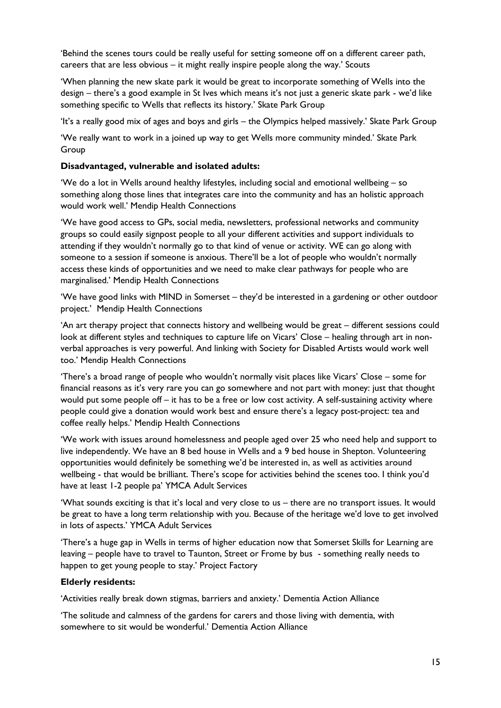'Behind the scenes tours could be really useful for setting someone off on a different career path, careers that are less obvious – it might really inspire people along the way.' Scouts

'When planning the new skate park it would be great to incorporate something of Wells into the design – there's a good example in St Ives which means it's not just a generic skate park - we'd like something specific to Wells that reflects its history.' Skate Park Group

'It's a really good mix of ages and boys and girls – the Olympics helped massively.' Skate Park Group

'We really want to work in a joined up way to get Wells more community minded.' Skate Park Group

#### **Disadvantaged, vulnerable and isolated adults:**

'We do a lot in Wells around healthy lifestyles, including social and emotional wellbeing – so something along those lines that integrates care into the community and has an holistic approach would work well.' Mendip Health Connections

'We have good access to GPs, social media, newsletters, professional networks and community groups so could easily signpost people to all your different activities and support individuals to attending if they wouldn't normally go to that kind of venue or activity. WE can go along with someone to a session if someone is anxious. There'll be a lot of people who wouldn't normally access these kinds of opportunities and we need to make clear pathways for people who are marginalised.' Mendip Health Connections

'We have good links with MIND in Somerset – they'd be interested in a gardening or other outdoor project.' Mendip Health Connections

'An art therapy project that connects history and wellbeing would be great – different sessions could look at different styles and techniques to capture life on Vicars' Close – healing through art in nonverbal approaches is very powerful. And linking with Society for Disabled Artists would work well too.' Mendip Health Connections

'There's a broad range of people who wouldn't normally visit places like Vicars' Close – some for financial reasons as it's very rare you can go somewhere and not part with money: just that thought would put some people off – it has to be a free or low cost activity. A self-sustaining activity where people could give a donation would work best and ensure there's a legacy post-project: tea and coffee really helps.' Mendip Health Connections

'We work with issues around homelessness and people aged over 25 who need help and support to live independently. We have an 8 bed house in Wells and a 9 bed house in Shepton. Volunteering opportunities would definitely be something we'd be interested in, as well as activities around wellbeing - that would be brilliant. There's scope for activities behind the scenes too. I think you'd have at least 1-2 people pa' YMCA Adult Services

'What sounds exciting is that it's local and very close to us – there are no transport issues. It would be great to have a long term relationship with you. Because of the heritage we'd love to get involved in lots of aspects.' YMCA Adult Services

'There's a huge gap in Wells in terms of higher education now that Somerset Skills for Learning are leaving – people have to travel to Taunton, Street or Frome by bus - something really needs to happen to get young people to stay.' Project Factory

#### **Elderly residents:**

'Activities really break down stigmas, barriers and anxiety.' Dementia Action Alliance

'The solitude and calmness of the gardens for carers and those living with dementia, with somewhere to sit would be wonderful.' Dementia Action Alliance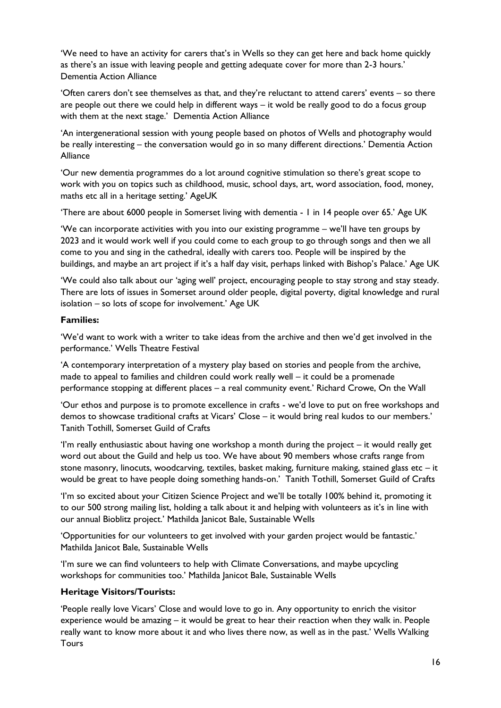'We need to have an activity for carers that's in Wells so they can get here and back home quickly as there's an issue with leaving people and getting adequate cover for more than 2-3 hours.' Dementia Action Alliance

'Often carers don't see themselves as that, and they're reluctant to attend carers' events – so there are people out there we could help in different ways – it wold be really good to do a focus group with them at the next stage.' Dementia Action Alliance

'An intergenerational session with young people based on photos of Wells and photography would be really interesting – the conversation would go in so many different directions.' Dementia Action Alliance

'Our new dementia programmes do a lot around cognitive stimulation so there's great scope to work with you on topics such as childhood, music, school days, art, word association, food, money, maths etc all in a heritage setting.' AgeUK

'There are about 6000 people in Somerset living with dementia - 1 in 14 people over 65.' Age UK

'We can incorporate activities with you into our existing programme – we'll have ten groups by 2023 and it would work well if you could come to each group to go through songs and then we all come to you and sing in the cathedral, ideally with carers too. People will be inspired by the buildings, and maybe an art project if it's a half day visit, perhaps linked with Bishop's Palace.' Age UK

'We could also talk about our 'aging well' project, encouraging people to stay strong and stay steady. There are lots of issues in Somerset around older people, digital poverty, digital knowledge and rural isolation – so lots of scope for involvement.' Age UK

### **Families:**

'We'd want to work with a writer to take ideas from the archive and then we'd get involved in the performance.' Wells Theatre Festival

'A contemporary interpretation of a mystery play based on stories and people from the archive, made to appeal to families and children could work really well – it could be a promenade performance stopping at different places – a real community event.' Richard Crowe, On the Wall

'Our ethos and purpose is to promote excellence in crafts - we'd love to put on free workshops and demos to showcase traditional crafts at Vicars' Close – it would bring real kudos to our members.' Tanith Tothill, Somerset Guild of Crafts

'I'm really enthusiastic about having one workshop a month during the project – it would really get word out about the Guild and help us too. We have about 90 members whose crafts range from stone masonry, linocuts, woodcarving, textiles, basket making, furniture making, stained glass etc – it would be great to have people doing something hands-on.' Tanith Tothill, Somerset Guild of Crafts

'I'm so excited about your Citizen Science Project and we'll be totally 100% behind it, promoting it to our 500 strong mailing list, holding a talk about it and helping with volunteers as it's in line with our annual Bioblitz project.' Mathilda Janicot Bale, Sustainable Wells

'Opportunities for our volunteers to get involved with your garden project would be fantastic.' Mathilda Janicot Bale, Sustainable Wells

'I'm sure we can find volunteers to help with Climate Conversations, and maybe upcycling workshops for communities too.' Mathilda Janicot Bale, Sustainable Wells

### **Heritage Visitors/Tourists:**

'People really love Vicars' Close and would love to go in. Any opportunity to enrich the visitor experience would be amazing – it would be great to hear their reaction when they walk in. People really want to know more about it and who lives there now, as well as in the past.' Wells Walking **Tours**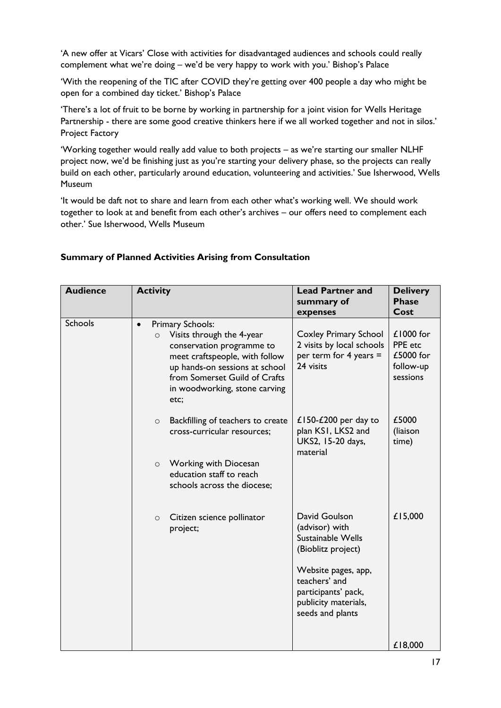'A new offer at Vicars' Close with activities for disadvantaged audiences and schools could really complement what we're doing – we'd be very happy to work with you.' Bishop's Palace

'With the reopening of the TIC after COVID they're getting over 400 people a day who might be open for a combined day ticket.' Bishop's Palace

'There's a lot of fruit to be borne by working in partnership for a joint vision for Wells Heritage Partnership - there are some good creative thinkers here if we all worked together and not in silos.' Project Factory

'Working together would really add value to both projects – as we're starting our smaller NLHF project now, we'd be finishing just as you're starting your delivery phase, so the projects can really build on each other, particularly around education, volunteering and activities.' Sue Isherwood, Wells Museum

'It would be daft not to share and learn from each other what's working well. We should work together to look at and benefit from each other's archives – our offers need to complement each other.' Sue Isherwood, Wells Museum

| <b>Audience</b> | <b>Activity</b>                                                                                                                                                                                                                                  | <b>Lead Partner and</b><br>summary of<br>expenses                                                                  | <b>Delivery</b><br><b>Phase</b><br>Cost                      |
|-----------------|--------------------------------------------------------------------------------------------------------------------------------------------------------------------------------------------------------------------------------------------------|--------------------------------------------------------------------------------------------------------------------|--------------------------------------------------------------|
| <b>Schools</b>  | Primary Schools:<br>$\bullet$<br>Visits through the 4-year<br>$\circ$<br>conservation programme to<br>meet craftspeople, with follow<br>up hands-on sessions at school<br>from Somerset Guild of Crafts<br>in woodworking, stone carving<br>etc; | <b>Coxley Primary School</b><br>2 visits by local schools<br>per term for 4 years $=$<br>24 visits                 | $£1000$ for<br>PPE etc<br>£5000 for<br>follow-up<br>sessions |
|                 | Backfilling of teachers to create<br>$\circ$<br>cross-curricular resources;<br><b>Working with Diocesan</b><br>$\circ$<br>education staff to reach                                                                                               | £150-£200 per day to<br>plan KSI, LKS2 and<br>UKS2, 15-20 days,<br>material                                        | £5000<br>(liaison<br>time)                                   |
|                 | schools across the diocese;                                                                                                                                                                                                                      |                                                                                                                    |                                                              |
|                 | Citizen science pollinator<br>$\circ$<br>project;                                                                                                                                                                                                | David Goulson<br>(advisor) with<br>Sustainable Wells<br>(Bioblitz project)<br>Website pages, app,<br>teachers' and | £15,000                                                      |
|                 |                                                                                                                                                                                                                                                  | participants' pack,<br>publicity materials,<br>seeds and plants                                                    | £18,000                                                      |

### **Summary of Planned Activities Arising from Consultation**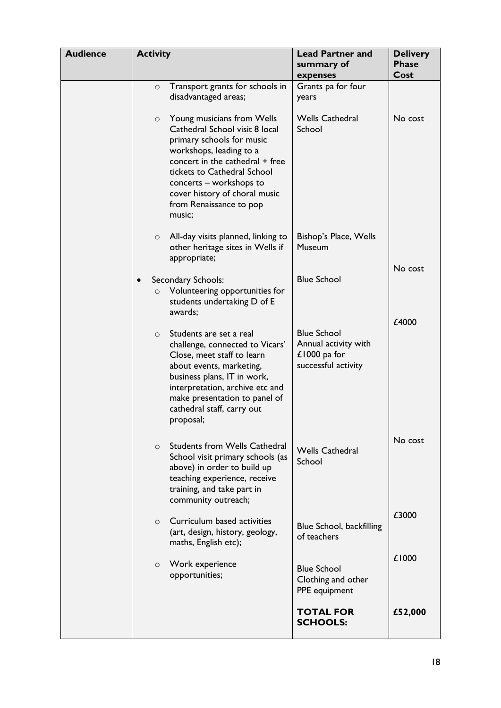| <b>Audience</b> | <b>Activity</b> |                                                                                                                                                                                                                                                                                         | <b>Lead Partner and</b><br>summary of<br>expenses                                 | <b>Delivery</b><br><b>Phase</b><br>Cost |
|-----------------|-----------------|-----------------------------------------------------------------------------------------------------------------------------------------------------------------------------------------------------------------------------------------------------------------------------------------|-----------------------------------------------------------------------------------|-----------------------------------------|
|                 | $\circ$         | Transport grants for schools in<br>disadvantaged areas;                                                                                                                                                                                                                                 | Grants pa for four<br>years                                                       |                                         |
|                 | $\circ$         | Young musicians from Wells<br>Cathedral School visit 8 local<br>primary schools for music<br>workshops, leading to a<br>concert in the cathedral + free<br>tickets to Cathedral School<br>concerts – workshops to<br>cover history of choral music<br>from Renaissance to pop<br>music; | <b>Wells Cathedral</b><br>School                                                  | No cost                                 |
|                 | $\circ$         | All-day visits planned, linking to<br>other heritage sites in Wells if<br>appropriate;                                                                                                                                                                                                  | Bishop's Place, Wells<br>Museum                                                   | No cost                                 |
|                 | $\circ$         | Secondary Schools:<br>Volunteering opportunities for<br>students undertaking D of E<br>awards;                                                                                                                                                                                          | <b>Blue School</b>                                                                | £4000                                   |
|                 | $\Omega$        | Students are set a real<br>challenge, connected to Vicars'<br>Close, meet staff to learn<br>about events, marketing,<br>business plans, IT in work,<br>interpretation, archive etc and<br>make presentation to panel of<br>cathedral staff, carry out<br>proposal;                      | <b>Blue School</b><br>Annual activity with<br>£1000 pa for<br>successful activity |                                         |
|                 | $\Omega$        | <b>Students from Wells Cathedral</b><br>School visit primary schools (as<br>above) in order to build up<br>teaching experience, receive<br>training, and take part in<br>community outreach;                                                                                            | <b>Wells Cathedral</b><br>School                                                  | No cost                                 |
|                 | $\circ$         | Curriculum based activities<br>(art, design, history, geology,<br>maths, English etc);                                                                                                                                                                                                  | Blue School, backfilling<br>of teachers                                           | £3000                                   |
|                 | $\circ$         | Work experience<br>opportunities;                                                                                                                                                                                                                                                       | <b>Blue School</b><br>Clothing and other<br>PPE equipment                         | £1000                                   |
|                 |                 |                                                                                                                                                                                                                                                                                         | <b>TOTAL FOR</b><br><b>SCHOOLS:</b>                                               | £52,000                                 |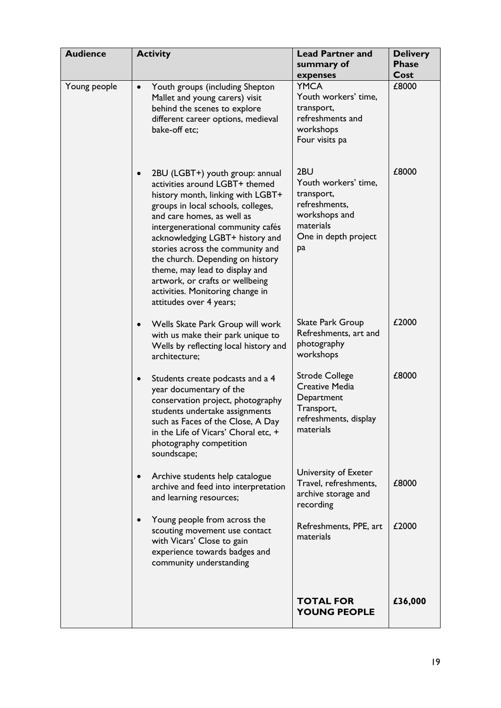| <b>Audience</b> | <b>Activity</b>                                                                                                                                                                                                                                                                                                                                                                                                                                                             | <b>Lead Partner and</b><br>summary of<br>expenses                                                                      | <b>Delivery</b><br><b>Phase</b><br>Cost |
|-----------------|-----------------------------------------------------------------------------------------------------------------------------------------------------------------------------------------------------------------------------------------------------------------------------------------------------------------------------------------------------------------------------------------------------------------------------------------------------------------------------|------------------------------------------------------------------------------------------------------------------------|-----------------------------------------|
| Young people    | Youth groups (including Shepton<br>$\bullet$<br>Mallet and young carers) visit<br>behind the scenes to explore<br>different career options, medieval<br>bake-off etc;                                                                                                                                                                                                                                                                                                       | <b>YMCA</b><br>Youth workers' time,<br>transport,<br>refreshments and<br>workshops<br>Four visits pa                   | £8000                                   |
|                 | 2BU (LGBT+) youth group: annual<br>$\bullet$<br>activities around LGBT+ themed<br>history month, linking with LGBT+<br>groups in local schools, colleges,<br>and care homes, as well as<br>intergenerational community cafés<br>acknowledging LGBT+ history and<br>stories across the community and<br>the church. Depending on history<br>theme, may lead to display and<br>artwork, or crafts or wellbeing<br>activities. Monitoring change in<br>attitudes over 4 years; | 2BU<br>Youth workers' time,<br>transport,<br>refreshments,<br>workshops and<br>materials<br>One in depth project<br>pa | £8000                                   |
|                 | Wells Skate Park Group will work<br>$\bullet$<br>with us make their park unique to<br>Wells by reflecting local history and<br>architecture;                                                                                                                                                                                                                                                                                                                                | Skate Park Group<br>Refreshments, art and<br>photography<br>workshops                                                  | £2000                                   |
|                 | Students create podcasts and a 4<br>$\bullet$<br>year documentary of the<br>conservation project, photography<br>students undertake assignments<br>such as Faces of the Close, A Day<br>in the Life of Vicars' Choral etc, +<br>photography competition<br>soundscape;                                                                                                                                                                                                      | <b>Strode College</b><br><b>Creative Media</b><br>Department<br>Transport,<br>refreshments, display<br>materials       | £8000                                   |
|                 | Archive students help catalogue<br>$\bullet$<br>archive and feed into interpretation<br>and learning resources;                                                                                                                                                                                                                                                                                                                                                             | University of Exeter<br>Travel, refreshments,<br>archive storage and<br>recording                                      | £8000                                   |
|                 | Young people from across the<br>scouting movement use contact<br>with Vicars' Close to gain<br>experience towards badges and<br>community understanding                                                                                                                                                                                                                                                                                                                     | Refreshments, PPE, art<br>materials                                                                                    | £2000                                   |
|                 |                                                                                                                                                                                                                                                                                                                                                                                                                                                                             | <b>TOTAL FOR</b><br><b>YOUNG PEOPLE</b>                                                                                | £36,000                                 |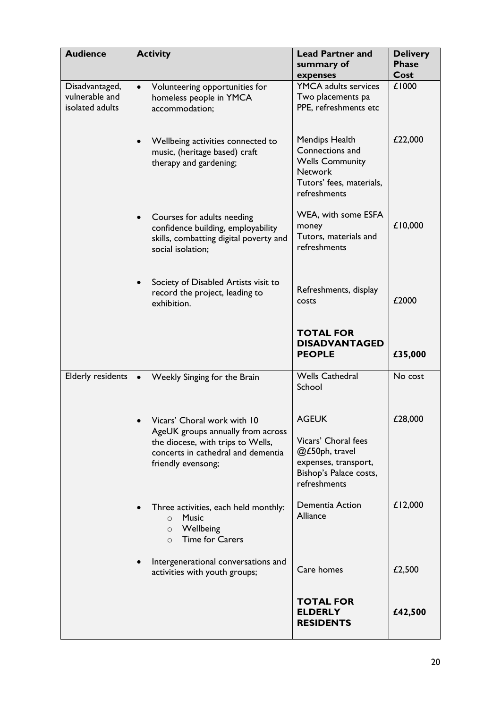| <b>Audience</b>                                     | <b>Activity</b>                                                                                                                                                   | <b>Lead Partner and</b><br>summary of<br>expenses                                                                         | <b>Delivery</b><br><b>Phase</b><br>Cost |
|-----------------------------------------------------|-------------------------------------------------------------------------------------------------------------------------------------------------------------------|---------------------------------------------------------------------------------------------------------------------------|-----------------------------------------|
| Disadvantaged,<br>vulnerable and<br>isolated adults | Volunteering opportunities for<br>$\bullet$<br>homeless people in YMCA<br>accommodation;                                                                          | <b>YMCA</b> adults services<br>Two placements pa<br>PPE, refreshments etc                                                 | £1000                                   |
|                                                     | Wellbeing activities connected to<br>$\bullet$<br>music, (heritage based) craft<br>therapy and gardening;                                                         | Mendips Health<br>Connections and<br><b>Wells Community</b><br><b>Network</b><br>Tutors' fees, materials,<br>refreshments | £22,000                                 |
|                                                     | Courses for adults needing<br>$\bullet$<br>confidence building, employability<br>skills, combatting digital poverty and<br>social isolation;                      | WEA, with some ESFA<br>money<br>Tutors, materials and<br>refreshments                                                     | £10,000                                 |
|                                                     | Society of Disabled Artists visit to<br>$\bullet$<br>record the project, leading to<br>exhibition.                                                                | Refreshments, display<br>COSts                                                                                            | £2000                                   |
|                                                     |                                                                                                                                                                   | <b>TOTAL FOR</b><br><b>DISADVANTAGED</b><br><b>PEOPLE</b>                                                                 | £35,000                                 |
| <b>Elderly residents</b>                            | Weekly Singing for the Brain<br>$\bullet$                                                                                                                         | <b>Wells Cathedral</b><br>School                                                                                          | No cost                                 |
|                                                     | Vicars' Choral work with 10<br>AgeUK groups annually from across<br>the diocese, with trips to Wells,<br>concerts in cathedral and dementia<br>friendly evensong; | <b>AGEUK</b><br>Vicars' Choral fees<br>@£50ph, travel<br>expenses, transport,<br>Bishop's Palace costs,<br>refreshments   | £28,000                                 |
|                                                     | Three activities, each held monthly:<br><b>Music</b><br>$\circ$<br>Wellbeing<br>$\circ$<br><b>Time for Carers</b><br>$\circ$                                      | Dementia Action<br>Alliance                                                                                               | £12,000                                 |
|                                                     | Intergenerational conversations and<br>activities with youth groups;                                                                                              | Care homes                                                                                                                | £2,500                                  |
|                                                     |                                                                                                                                                                   | <b>TOTAL FOR</b><br><b>ELDERLY</b><br><b>RESIDENTS</b>                                                                    | £42,500                                 |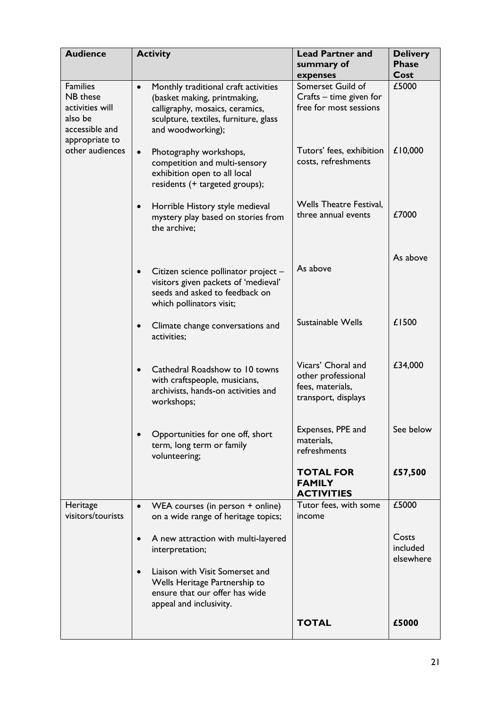| <b>Audience</b>                                                                               | <b>Activity</b>                                                                                                                                                                    | <b>Lead Partner and</b><br>summary of<br>expenses                                   | <b>Delivery</b><br><b>Phase</b><br>Cost |
|-----------------------------------------------------------------------------------------------|------------------------------------------------------------------------------------------------------------------------------------------------------------------------------------|-------------------------------------------------------------------------------------|-----------------------------------------|
| <b>Families</b><br>NB these<br>activities will<br>also be<br>accessible and<br>appropriate to | Monthly traditional craft activities<br>$\bullet$<br>(basket making, printmaking,<br>calligraphy, mosaics, ceramics,<br>sculpture, textiles, furniture, glass<br>and woodworking); | Somerset Guild of<br>Crafts – time given for<br>free for most sessions              | £5000                                   |
| other audiences                                                                               | Photography workshops,<br>$\bullet$<br>competition and multi-sensory<br>exhibition open to all local<br>residents (+ targeted groups);                                             | Tutors' fees, exhibition<br>costs, refreshments                                     | £10,000                                 |
|                                                                                               | Horrible History style medieval<br>$\bullet$<br>mystery play based on stories from<br>the archive:                                                                                 | <b>Wells Theatre Festival,</b><br>three annual events                               | £7000                                   |
|                                                                                               | Citizen science pollinator project -<br>$\bullet$<br>visitors given packets of 'medieval'<br>seeds and asked to feedback on<br>which pollinators visit;                            | As above                                                                            | As above                                |
|                                                                                               | Climate change conversations and<br>$\bullet$<br>activities;                                                                                                                       | Sustainable Wells                                                                   | £1500                                   |
|                                                                                               | Cathedral Roadshow to 10 towns<br>$\bullet$<br>with craftspeople, musicians,<br>archivists, hands-on activities and<br>workshops;                                                  | Vicars' Choral and<br>other professional<br>fees, materials,<br>transport, displays | £34,000                                 |
|                                                                                               | Opportunities for one off, short<br>$\bullet$<br>term, long term or family<br>volunteering;                                                                                        | Expenses, PPE and<br>materials,<br>refreshments                                     | See below                               |
|                                                                                               |                                                                                                                                                                                    | <b>TOTAL FOR</b><br><b>FAMILY</b><br><b>ACTIVITIES</b>                              | £57,500                                 |
| Heritage<br>visitors/tourists                                                                 | WEA courses (in person + online)<br>$\bullet$<br>on a wide range of heritage topics;                                                                                               | Tutor fees, with some<br>income                                                     | £5000                                   |
|                                                                                               | A new attraction with multi-layered<br>$\bullet$<br>interpretation;                                                                                                                |                                                                                     | Costs<br>included<br>elsewhere          |
|                                                                                               | Liaison with Visit Somerset and<br>$\bullet$<br>Wells Heritage Partnership to<br>ensure that our offer has wide<br>appeal and inclusivity.                                         |                                                                                     |                                         |
|                                                                                               |                                                                                                                                                                                    | <b>TOTAL</b>                                                                        | £5000                                   |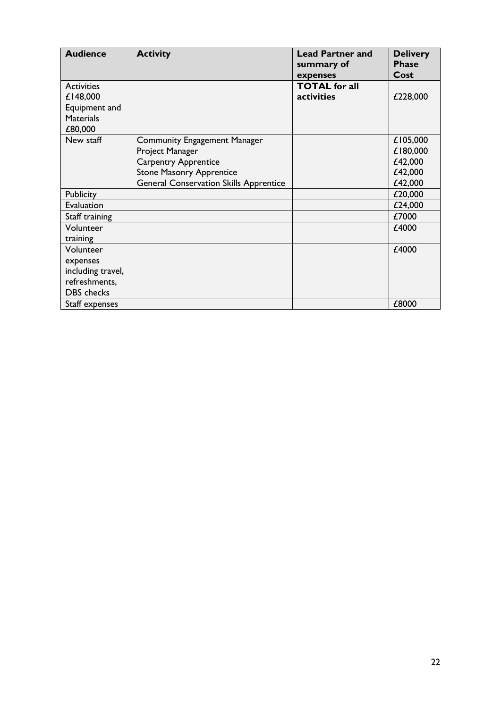| <b>Audience</b>           | <b>Activity</b>                               | <b>Lead Partner and</b><br>summary of | <b>Delivery</b><br><b>Phase</b><br>Cost |
|---------------------------|-----------------------------------------------|---------------------------------------|-----------------------------------------|
| <b>Activities</b>         |                                               | expenses<br><b>TOTAL</b> for all      |                                         |
| £148,000<br>Equipment and |                                               | activities                            | £228,000                                |
| <b>Materials</b>          |                                               |                                       |                                         |
| £80,000                   |                                               |                                       |                                         |
| New staff                 | <b>Community Engagement Manager</b>           |                                       | £105,000                                |
|                           | Project Manager                               |                                       | £180,000                                |
|                           | <b>Carpentry Apprentice</b>                   |                                       | £42,000                                 |
|                           | <b>Stone Masonry Apprentice</b>               |                                       | £42,000                                 |
|                           | <b>General Conservation Skills Apprentice</b> |                                       | £42,000                                 |
| Publicity                 |                                               |                                       | £20,000                                 |
| Evaluation                |                                               |                                       | £24,000                                 |
| Staff training            |                                               |                                       | £7000                                   |
| Volunteer                 |                                               |                                       | £4000                                   |
| training                  |                                               |                                       |                                         |
| Volunteer                 |                                               |                                       | £4000                                   |
| expenses                  |                                               |                                       |                                         |
| including travel,         |                                               |                                       |                                         |
| refreshments,             |                                               |                                       |                                         |
| <b>DBS</b> checks         |                                               |                                       |                                         |
| Staff expenses            |                                               |                                       | £8000                                   |